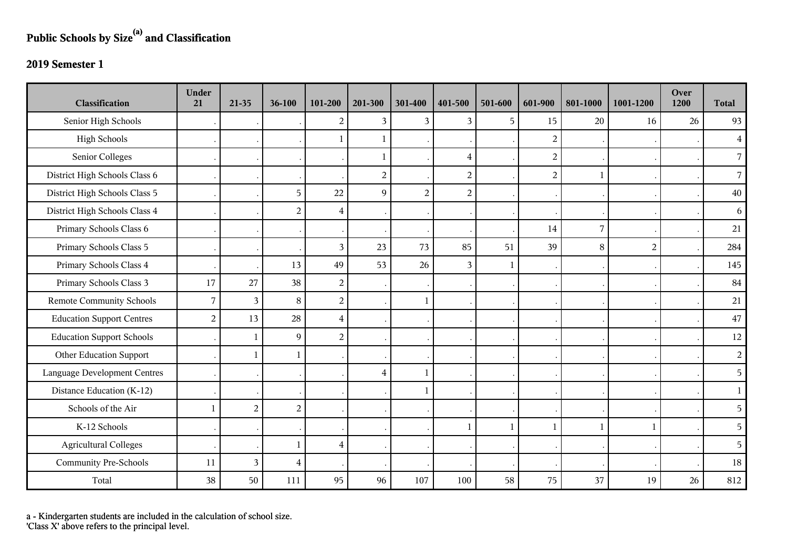## **Public Schools by Size(a) and Classification**

## **2019 Semester 1**

| <b>Classification</b>            | <b>Under</b><br>21 | 21-35          | 36-100           | 101-200          | 201-300        | 301-400        | 401-500        | 501-600      | 601-900          | 801-1000 | 1001-1200      | Over<br>1200 | <b>Total</b>   |
|----------------------------------|--------------------|----------------|------------------|------------------|----------------|----------------|----------------|--------------|------------------|----------|----------------|--------------|----------------|
| Senior High Schools              |                    |                |                  | 2                | 3 <sup>1</sup> | 3              | 3              | 5            | 15               | 20       | 16             | 26           | 93             |
| <b>High Schools</b>              |                    |                |                  |                  | $\mathbf 1$    |                |                |              | $\boldsymbol{2}$ |          |                |              | $\overline{4}$ |
| Senior Colleges                  |                    |                |                  |                  | 1              |                | $\overline{4}$ |              | $\boldsymbol{2}$ |          |                |              | $\overline{7}$ |
| District High Schools Class 6    |                    |                |                  |                  | $\overline{2}$ |                | $\overline{2}$ |              | $\overline{2}$   | 1        |                |              | $\overline{7}$ |
| District High Schools Class 5    |                    |                | 5                | 22               | 9              | $\overline{2}$ | $\overline{2}$ |              |                  |          |                |              | 40             |
| District High Schools Class 4    |                    |                | $\overline{2}$   | $\overline{4}$   |                |                |                |              |                  |          |                |              | 6              |
| Primary Schools Class 6          |                    |                |                  |                  |                |                |                |              | 14               | 7        |                |              | 21             |
| Primary Schools Class 5          |                    |                |                  | $\overline{3}$   | 23             | 73             | 85             | 51           | 39               | 8        | $\overline{2}$ |              | 284            |
| Primary Schools Class 4          |                    |                | 13               | 49               | 53             | 26             | 3              | $\mathbf{1}$ |                  |          |                |              | 145            |
| Primary Schools Class 3          | 17                 | 27             | 38               | $\overline{2}$   |                |                |                |              |                  |          |                |              | 84             |
| <b>Remote Community Schools</b>  | 7                  | 3              | $8\,$            | $\boldsymbol{2}$ |                | $\mathbf{1}$   |                |              |                  |          |                |              | 21             |
| <b>Education Support Centres</b> | $\overline{c}$     | 13             | 28               | $\overline{4}$   |                |                |                |              |                  |          |                |              | $47\,$         |
| <b>Education Support Schools</b> |                    | $\mathbf{1}$   | $\overline{9}$   | $\overline{2}$   |                |                |                |              |                  |          |                |              | 12             |
| Other Education Support          |                    | $\mathbf{1}$   | $\mathbf{1}$     |                  |                |                |                |              |                  |          |                |              | $\overline{2}$ |
| Language Development Centres     |                    |                |                  |                  | $\overline{4}$ | $\mathbf{1}$   |                |              |                  |          |                |              | 5              |
| Distance Education (K-12)        |                    |                |                  |                  |                |                |                |              |                  |          |                |              | $\mathbf{1}$   |
| Schools of the Air               | $\overline{1}$     | $\overline{a}$ | $\boldsymbol{2}$ |                  |                |                |                |              |                  |          |                |              | 5              |
| K-12 Schools                     |                    |                |                  |                  |                |                | -1             | $\mathbf{1}$ | 1                | 1        | $\mathbf{1}$   |              | 5              |
| <b>Agricultural Colleges</b>     |                    |                | $\mathbf{1}$     | $\overline{4}$   |                |                |                |              |                  |          |                |              | 5              |
| <b>Community Pre-Schools</b>     | 11                 | 3              | $\overline{4}$   |                  |                |                |                |              |                  |          |                |              | 18             |
| Total                            | 38                 | 50             | 111              | 95               | 96             | 107            | 100            | 58           | 75               | 37       | 19             | 26           | 812            |

a - Kindergarten students are included in the calculation of school size.

'Class X' above refers to the principal level.